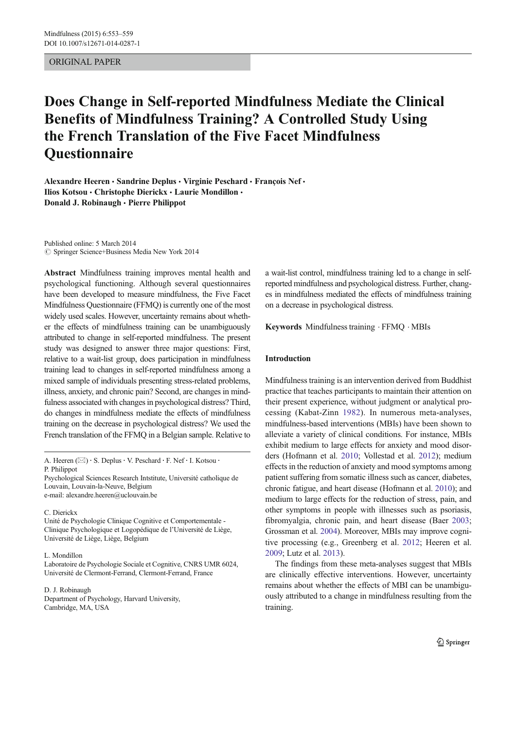# ORIGINAL PAPER

# Does Change in Self-reported Mindfulness Mediate the Clinical Benefits of Mindfulness Training? A Controlled Study Using the French Translation of the Five Facet Mindfulness **Questionnaire**

Alexandre Heeren · Sandrine Deplus · Virginie Peschard · François Nef · Ilios Kotsou • Christophe Dierickx • Laurie Mondillon • Donald J. Robinaugh & Pierre Philippot

Published online: 5 March 2014  $\circ$  Springer Science+Business Media New York 2014

Abstract Mindfulness training improves mental health and psychological functioning. Although several questionnaires have been developed to measure mindfulness, the Five Facet Mindfulness Questionnaire (FFMQ) is currently one of the most widely used scales. However, uncertainty remains about whether the effects of mindfulness training can be unambiguously attributed to change in self-reported mindfulness. The present study was designed to answer three major questions: First, relative to a wait-list group, does participation in mindfulness training lead to changes in self-reported mindfulness among a mixed sample of individuals presenting stress-related problems, illness, anxiety, and chronic pain? Second, are changes in mindfulness associated with changes in psychological distress? Third, do changes in mindfulness mediate the effects of mindfulness training on the decrease in psychological distress? We used the French translation of the FFMQ in a Belgian sample. Relative to

A. Heeren  $(\boxtimes)$  · S. Deplus · V. Peschard · F. Nef · I. Kotsou · P. Philippot

Psychological Sciences Research Intstitute, Université catholique de Louvain, Louvain-la-Neuve, Belgium e-mail: alexandre.heeren@uclouvain.be

#### C. Dierickx

Unité de Psychologie Clinique Cognitive et Comportementale - Clinique Psychologique et Logopédique de l'Université de Liège, Université de Liège, Liège, Belgium

#### L. Mondillon

Laboratoire de Psychologie Sociale et Cognitive, CNRS UMR 6024, Université de Clermont-Ferrand, Clermont-Ferrand, France

D. J. Robinaugh Department of Psychology, Harvard University, Cambridge, MA, USA

a wait-list control, mindfulness training led to a change in selfreported mindfulness and psychological distress. Further, changes in mindfulness mediated the effects of mindfulness training on a decrease in psychological distress.

Keywords Mindfulness training . FFMQ . MBIs

## Introduction

Mindfulness training is an intervention derived from Buddhist practice that teaches participants to maintain their attention on their present experience, without judgment or analytical processing (Kabat-Zinn 1982). In numerous meta-analyses, mindfulness-based interventions (MBIs) have been shown to alleviate a variety of clinical conditions. For instance, MBIs exhibit medium to large effects for anxiety and mood disorders (Hofmann et al. 2010; Vollestad et al. 2012); medium effects in the reduction of anxiety and mood symptoms among patient suffering from somatic illness such as cancer, diabetes, chronic fatigue, and heart disease (Hofmann et al. 2010); and medium to large effects for the reduction of stress, pain, and other symptoms in people with illnesses such as psoriasis, fibromyalgia, chronic pain, and heart disease (Baer 2003; Grossman et al. 2004). Moreover, MBIs may improve cognitive processing (e.g., Greenberg et al. 2012; Heeren et al. 2009; Lutz et al. 2013).

The findings from these meta-analyses suggest that MBIs are clinically effective interventions. However, uncertainty remains about whether the effects of MBI can be unambiguously attributed to a change in mindfulness resulting from the training.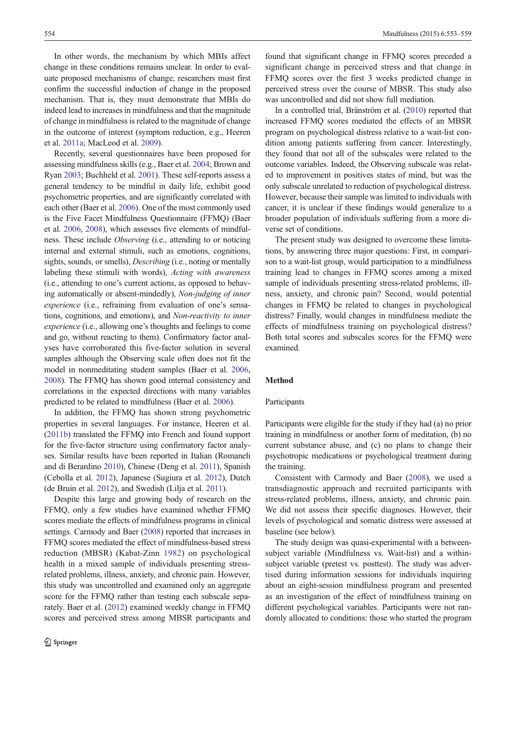In other words, the mechanism by which MBIs affect change in these conditions remains unclear. In order to evaluate proposed mechanisms of change, researchers must first confirm the successful induction of change in the proposed mechanism. That is, they must demonstrate that MBIs do indeed lead to increases in mindfulness and that the magnitude of change in mindfulness is related to the magnitude of change in the outcome of interest (symptom reduction, e.g., Heeren et al. 2011a; MacLeod et al. 2009).

Recently, several questionnaires have been proposed for assessing mindfulness skills (e.g., Baer et al. 2004; Brown and Ryan 2003; Buchheld et al. 2001). These self-reports assess a general tendency to be mindful in daily life, exhibit good psychometric properties, and are significantly correlated with each other (Baer et al. 2006). One of the most commonly used is the Five Facet Mindfulness Questionnaire (FFMQ) (Baer et al. 2006, 2008), which assesses five elements of mindfulness. These include Observing (i.e., attending to or noticing internal and external stimuli, such as emotions, cognitions, sights, sounds, or smells), Describing (i.e., noting or mentally labeling these stimuli with words), *Acting with awareness* (i.e., attending to one's current actions, as opposed to behaving automatically or absent-mindedly), Non-judging of inner experience (i.e., refraining from evaluation of one's sensations, cognitions, and emotions), and Non-reactivity to inner experience (i.e., allowing one's thoughts and feelings to come and go, without reacting to them). Confirmatory factor analyses have corroborated this five-factor solution in several samples although the Observing scale often does not fit the model in nonmeditating student samples (Baer et al. 2006, 2008). The FFMQ has shown good internal consistency and correlations in the expected directions with many variables predicted to be related to mindfulness (Baer et al. 2006).

In addition, the FFMQ has shown strong psychometric properties in several languages. For instance, Heeren et al. (2011b) translated the FFMQ into French and found support for the five-factor structure using confirmatory factor analyses. Similar results have been reported in Italian (Romaneli and di Berardino 2010), Chinese (Deng et al. 2011), Spanish (Cebolla et al. 2012), Japanese (Sugiura et al. 2012), Dutch (de Bruin et al. 2012), and Swedish (Lilja et al. 2011).

Despite this large and growing body of research on the FFMQ, only a few studies have examined whether FFMQ scores mediate the effects of mindfulness programs in clinical settings. Carmody and Baer (2008) reported that increases in FFMQ scores mediated the effect of mindfulness-based stress reduction (MBSR) (Kabat-Zinn 1982) on psychological health in a mixed sample of individuals presenting stressrelated problems, illness, anxiety, and chronic pain. However, this study was uncontrolled and examined only an aggregate score for the FFMQ rather than testing each subscale separately. Baer et al. (2012) examined weekly change in FFMQ scores and perceived stress among MBSR participants and

found that significant change in FFMQ scores preceded a significant change in perceived stress and that change in FFMQ scores over the first 3 weeks predicted change in perceived stress over the course of MBSR. This study also was uncontrolled and did not show full mediation.

In a controlled trial, Bränström et al. (2010) reported that increased FFMQ scores mediated the effects of an MBSR program on psychological distress relative to a wait-list condition among patients suffering from cancer. Interestingly, they found that not all of the subscales were related to the outcome variables. Indeed, the Observing subscale was related to improvement in positives states of mind, but was the only subscale unrelated to reduction of psychological distress. However, because their sample was limited to individuals with cancer, it is unclear if these findings would generalize to a broader population of individuals suffering from a more diverse set of conditions.

The present study was designed to overcome these limitations, by answering three major questions: First, in comparison to a wait-list group, would participation to a mindfulness training lead to changes in FFMQ scores among a mixed sample of individuals presenting stress-related problems, illness, anxiety, and chronic pain? Second, would potential changes in FFMQ be related to changes in psychological distress? Finally, would changes in mindfulness mediate the effects of mindfulness training on psychological distress? Both total scores and subscales scores for the FFMQ were examined.

#### Method

#### Participants

Participants were eligible for the study if they had (a) no prior training in mindfulness or another form of meditation, (b) no current substance abuse, and (c) no plans to change their psychotropic medications or psychological treatment during the training.

Consistent with Carmody and Baer (2008), we used a transdiagnostic approach and recruited participants with stress-related problems, illness, anxiety, and chronic pain. We did not assess their specific diagnoses. However, their levels of psychological and somatic distress were assessed at baseline (see below).

The study design was quasi-experimental with a betweensubject variable (Mindfulness vs. Wait-list) and a withinsubject variable (pretest vs. posttest). The study was advertised during information sessions for individuals inquiring about an eight-session mindfulness program and presented as an investigation of the effect of mindfulness training on different psychological variables. Participants were not randomly allocated to conditions: those who started the program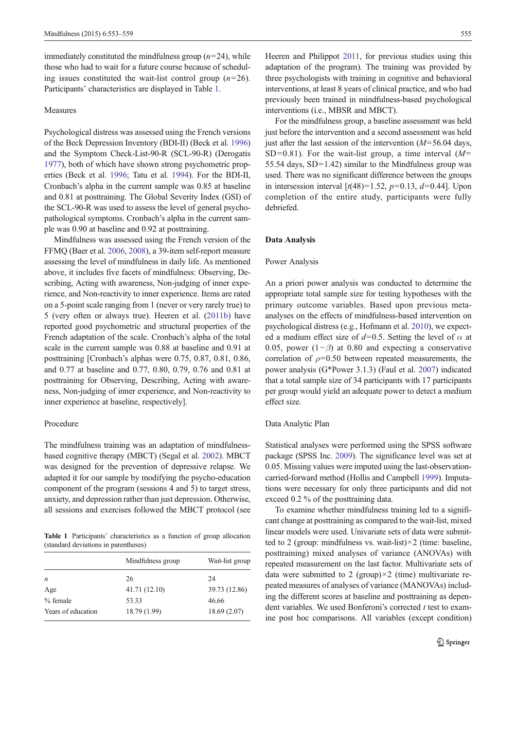immediately constituted the mindfulness group  $(n=24)$ , while those who had to wait for a future course because of scheduling issues constituted the wait-list control group  $(n=26)$ . Participants' characteristics are displayed in Table 1.

## Measures

Psychological distress was assessed using the French versions of the Beck Depression Inventory (BDI-II) (Beck et al. 1996) and the Symptom Check-List-90-R (SCL-90-R) (Derogatis 1977), both of which have shown strong psychometric properties (Beck et al. 1996; Tatu et al. 1994). For the BDI-II, Cronbach's alpha in the current sample was 0.85 at baseline and 0.81 at posttraining. The Global Severity Index (GSI) of the SCL-90-R was used to assess the level of general psychopathological symptoms. Cronbach's alpha in the current sample was 0.90 at baseline and 0.92 at posttraining.

Mindfulness was assessed using the French version of the FFMQ (Baer et al. 2006, 2008), a 39-item self-report measure assessing the level of mindfulness in daily life. As mentioned above, it includes five facets of mindfulness: Observing, Describing, Acting with awareness, Non-judging of inner experience, and Non-reactivity to inner experience. Items are rated on a 5-point scale ranging from 1 (never or very rarely true) to 5 (very often or always true). Heeren et al. (2011b) have reported good psychometric and structural properties of the French adaptation of the scale. Cronbach's alpha of the total scale in the current sample was 0.88 at baseline and 0.91 at posttraining [Cronbach's alphas were 0.75, 0.87, 0.81, 0.86, and 0.77 at baseline and 0.77, 0.80, 0.79, 0.76 and 0.81 at posttraining for Observing, Describing, Acting with awareness, Non-judging of inner experience, and Non-reactivity to inner experience at baseline, respectively].

### Procedure

The mindfulness training was an adaptation of mindfulnessbased cognitive therapy (MBCT) (Segal et al. 2002). MBCT was designed for the prevention of depressive relapse. We adapted it for our sample by modifying the psycho-education component of the program (sessions 4 and 5) to target stress, anxiety, and depression rather than just depression. Otherwise, all sessions and exercises followed the MBCT protocol (see

Table 1 Participants' characteristics as a function of group allocation (standard deviations in parentheses)

|                    | Mindfulness group | Wait-list group |
|--------------------|-------------------|-----------------|
| n                  | 26                | 24              |
| Age                | 41.71 (12.10)     | 39.73 (12.86)   |
| $%$ female         | 53.33             | 46.66           |
| Years of education | 18.79 (1.99)      | 18.69 (2.07)    |

Heeren and Philippot 2011, for previous studies using this adaptation of the program). The training was provided by three psychologists with training in cognitive and behavioral interventions, at least 8 years of clinical practice, and who had previously been trained in mindfulness-based psychological interventions (i.e., MBSR and MBCT).

For the mindfulness group, a baseline assessment was held just before the intervention and a second assessment was held just after the last session of the intervention  $(M=56.04$  days, SD=0.81). For the wait-list group, a time interval  $(M=$ 55.54 days, SD=1.42) similar to the Mindfulness group was used. There was no significant difference between the groups in intersession interval  $[t(48)=1.52, p=0.13, d=0.44]$ . Upon completion of the entire study, participants were fully debriefed.

### Data Analysis

#### Power Analysis

An a priori power analysis was conducted to determine the appropriate total sample size for testing hypotheses with the primary outcome variables. Based upon previous metaanalyses on the effects of mindfulness-based intervention on psychological distress (e.g., Hofmann et al. 2010), we expected a medium effect size of  $d=0.5$ . Setting the level of  $\alpha$  at 0.05, power  $(1-\beta)$  at 0.80 and expecting a conservative correlation of  $\rho$ =0.50 between repeated measurements, the power analysis (G\*Power 3.1.3) (Faul et al. 2007) indicated that a total sample size of 34 participants with 17 participants per group would yield an adequate power to detect a medium effect size.

#### Data Analytic Plan

Statistical analyses were performed using the SPSS software package (SPSS Inc. 2009). The significance level was set at 0.05. Missing values were imputed using the last-observationcarried-forward method (Hollis and Campbell 1999). Imputations were necessary for only three participants and did not exceed 0.2 % of the posttraining data.

To examine whether mindfulness training led to a significant change at posttraining as compared to the wait-list, mixed linear models were used. Univariate sets of data were submitted to 2 (group: mindfulness vs. wait-list) $\times$ 2 (time: baseline, posttraining) mixed analyses of variance (ANOVAs) with repeated measurement on the last factor. Multivariate sets of data were submitted to 2 (group) $\times$ 2 (time) multivariate repeated measures of analyses of variance (MANOVAs) including the different scores at baseline and posttraining as dependent variables. We used Bonferoni's corrected  $t$  test to examine post hoc comparisons. All variables (except condition)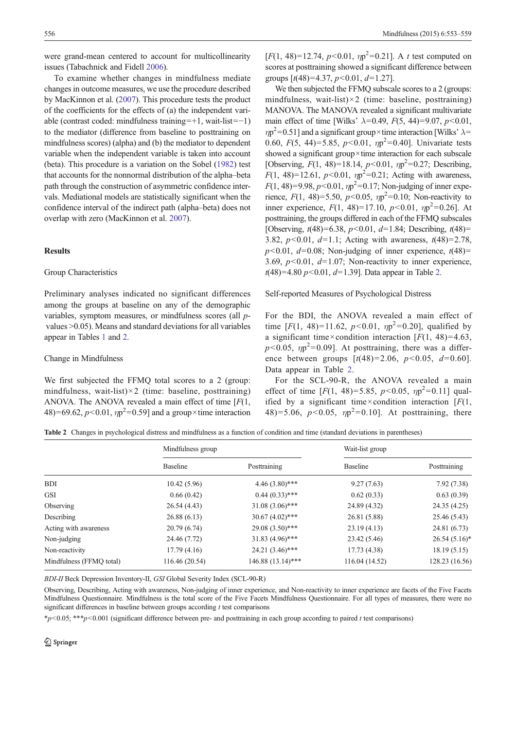were grand-mean centered to account for multicollinearity issues (Tabachnick and Fidell 2006).

To examine whether changes in mindfulness mediate changes in outcome measures, we use the procedure described by MacKinnon et al. (2007). This procedure tests the product of the coefficients for the effects of (a) the independent variable (contrast coded: mindfulness training=+1, wait-list=−1) to the mediator (difference from baseline to posttraining on mindfulness scores) (alpha) and (b) the mediator to dependent variable when the independent variable is taken into account (beta). This procedure is a variation on the Sobel (1982) test that accounts for the nonnormal distribution of the alpha–beta path through the construction of asymmetric confidence intervals. Mediational models are statistically significant when the confidence interval of the indirect path (alpha–beta) does not overlap with zero (MacKinnon et al. 2007).

# Results

#### Group Characteristics

Preliminary analyses indicated no significant differences among the groups at baseline on any of the demographic variables, symptom measures, or mindfulness scores (all pvalues >0.05). Means and standard deviations for all variables appear in Tables 1 and 2.

#### Change in Mindfulness

We first subjected the FFMQ total scores to a 2 (group: mindfulness, wait-list) $\times$ 2 (time: baseline, posttraining) ANOVA. The ANOVA revealed a main effect of time  $[F(1,$ 48)=69.62,  $p<0.01$ ,  $\eta p^2$ =0.59] and a group×time interaction

[ $F(1, 48) = 12.74$ ,  $p < 0.01$ ,  $\eta p^2 = 0.21$ ]. A t test computed on scores at posttraining showed a significant difference between groups  $\lceil t(48)=4.37, p<0.01, d=1.27\rceil$ .

We then subjected the FFMQ subscale scores to a 2 (groups: mindfulness, wait-list) $\times$ 2 (time: baseline, posttraining) MANOVA. The MANOVA revealed a significant multivariate main effect of time [Wilks'  $\lambda = 0.49$ ,  $F(5, 44) = 9.07$ ,  $p < 0.01$ ,  $\eta p^2 = 0.51$ ] and a significant group×time interaction [Wilks'  $\lambda =$ 0.60,  $F(5, 44)=5.85, p<0.01, \eta p^2=0.40$ ]. Univariate tests showed a significant group×time interaction for each subscale [Observing,  $F(1, 48)=18.14$ ,  $p<0.01$ ,  $\eta p^2=0.27$ ; Describing,  $F(1, 48)=12.61, p<0.01, \eta p^2=0.21$ ; Acting with awareness,  $F(1, 48)=9.98, p<0.01, \eta p^2=0.17$ ; Non-judging of inner experience,  $F(1, 48)=5.50$ ,  $p<0.05$ ,  $\eta p^2=0.10$ ; Non-reactivity to inner experience,  $F(1, 48)=17.10$ ,  $p<0.01$ ,  $\eta p^2=0.26$ ]. At posttraining, the groups differed in each of the FFMQ subscales [Observing,  $t(48)=6.38$ ,  $p<0.01$ ,  $d=1.84$ ; Describing,  $t(48)=$ 3.82,  $p<0.01$ ,  $d=1.1$ ; Acting with awareness,  $t(48)=2.78$ ,  $p<0.01$ ,  $d=0.08$ ; Non-judging of inner experience,  $t(48)=$ 3.69,  $p<0.01$ ,  $d=1.07$ ; Non-reactivity to inner experience,  $t(48)=4.80 \, p<0.01, d=1.39$ . Data appear in Table 2.

Self-reported Measures of Psychological Distress

For the BDI, the ANOVA revealed a main effect of time  $[F(1, 48)=11.62, p<0.01, \eta p^2=0.20]$ , qualified by a significant time×condition interaction [ $F(1, 48)=4.63$ ,  $p<0.05$ ,  $\eta p^2=0.09$ ]. At posttraining, there was a difference between groups  $[t(48)=2.06, p<0.05, d=0.60]$ . Data appear in Table 2.

For the SCL-90-R, the ANOVA revealed a main effect of time  $[F(1, 48)=5.85, p<0.05, \eta p^2=0.11]$  qualified by a significant time×condition interaction  $[F(1,$  $(48)=5.06, p<0.05, \eta p^2=0.10$ ]. At posttraining, there

Table 2 Changes in psychological distress and mindfulness as a function of condition and time (standard deviations in parentheses)

|                          | Mindfulness group |                     | Wait-list group |                 |
|--------------------------|-------------------|---------------------|-----------------|-----------------|
|                          | <b>Baseline</b>   | Posttraining        | <b>Baseline</b> | Posttraining    |
| <b>BDI</b>               | 10.42(5.96)       | $4.46(3.80)$ ***    | 9.27(7.63)      | 7.92(7.38)      |
| <b>GSI</b>               | 0.66(0.42)        | $0.44(0.33)$ ***    | 0.62(0.33)      | 0.63(0.39)      |
| Observing                | 26.54 (4.43)      | $31.08(3.06)$ ***   | 24.89 (4.32)    | 24.35 (4.25)    |
| Describing               | 26.88(6.13)       | $30.67(4.02)$ ***   | 26.81 (5.88)    | 25.46 (5.43)    |
| Acting with awareness    | 20.79(6.74)       | 29.08 (3.50)***     | 23.19(4.13)     | 24.81 (6.73)    |
| Non-judging              | 24.46 (7.72)      | $31.83(4.96)$ ***   | 23.42 (5.46)    | $26.54(5.16)^*$ |
| Non-reactivity           | 17.79(4.16)       | 24.21 (3.46)***     | 17.73 (4.38)    | 18.19(5.15)     |
| Mindfulness (FFMQ total) | 116.46 (20.54)    | $146.88(13.14)$ *** | 116.04 (14.52)  | 128.23 (16.56)  |

BDI-II Beck Depression Inventory-II, GSI Global Severity Index (SCL-90-R)

Observing, Describing, Acting with awareness, Non-judging of inner experience, and Non-reactivity to inner experience are facets of the Five Facets Mindfulness Questionnaire. Mindfulness is the total score of the Five Facets Mindfulness Questionnaire. For all types of measures, there were no significant differences in baseline between groups according  $t$  test comparisons

 $\gamma$  <0.05; \*\*\*p<0.001 (significant difference between pre- and posttraining in each group according to paired t test comparisons)

hinger ∌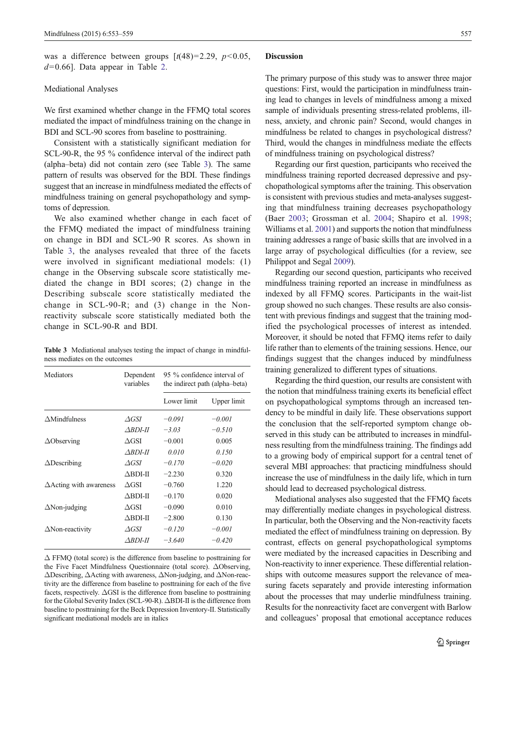was a difference between groups  $\lceil t(48)=2.29, p<0.05,$  $d=0.66$ ]. Data appear in Table 2.

#### Mediational Analyses

We first examined whether change in the FFMQ total scores mediated the impact of mindfulness training on the change in BDI and SCL-90 scores from baseline to posttraining.

Consistent with a statistically significant mediation for SCL-90-R, the 95 % confidence interval of the indirect path (alpha–beta) did not contain zero (see Table 3). The same pattern of results was observed for the BDI. These findings suggest that an increase in mindfulness mediated the effects of mindfulness training on general psychopathology and symptoms of depression.

We also examined whether change in each facet of the FFMQ mediated the impact of mindfulness training on change in BDI and SCL-90 R scores. As shown in Table 3, the analyses revealed that three of the facets were involved in significant mediational models: (1) change in the Observing subscale score statistically mediated the change in BDI scores; (2) change in the Describing subscale score statistically mediated the change in SCL-90-R; and (3) change in the Nonreactivity subscale score statistically mediated both the change in SCL-90-R and BDI.

Table 3 Mediational analyses testing the impact of change in mindfulness mediates on the outcomes

| Mediators                      | Dependent<br>variables |             | 95 % confidence interval of<br>the indirect path (alpha-beta) |
|--------------------------------|------------------------|-------------|---------------------------------------------------------------|
|                                |                        | Lower limit | Upper limit                                                   |
| $\Delta$ Mindfulness           | $\varDelta$ GSI        | $-0.091$    | $-0.001$                                                      |
|                                | $\triangle BDI-II$     | $-3.03$     | $-0.510$                                                      |
| $\Delta$ Observing             | $\Delta \text{GSI}$    | $-0.001$    | 0.005                                                         |
|                                | $\triangle BDI-II$     | 0.010       | 0.150                                                         |
| $\Delta$ Describing            | $\Delta$ GSI           | $-0.170$    | $-0.020$                                                      |
|                                | $\Delta$ BDI-II        | $-2.230$    | 0.320                                                         |
| $\Delta$ Acting with awareness | $\Delta \text{GSI}$    | $-0.760$    | 1.220                                                         |
|                                | $\Delta$ BDI-II        | $-0.170$    | 0.020                                                         |
| $\Delta$ Non-judging           | $\Delta \text{GSI}$    | $-0.090$    | 0.010                                                         |
|                                | $\Delta$ BDI-II        | $-2.800$    | 0.130                                                         |
| $\Delta$ Non-reactivity        | $\varDelta GSI$        | $-0.120$    | $-0.001$                                                      |
|                                | ∆BDI-II                | $-3.640$    | $-0.420$                                                      |
|                                |                        |             |                                                               |

 $\Delta$  FFMO (total score) is the difference from baseline to posttraining for the Five Facet Mindfulness Questionnaire (total score). ΔObserving, ΔDescribing, ΔActing with awareness, ΔNon-judging, and ΔNon-reactivity are the difference from baseline to posttraining for each of the five facets, respectively. ΔGSI is the difference from baseline to posttraining for the Global Severity Index (SCL-90-R). ΔBDI-II is the difference from baseline to posttraining for the Beck Depression Inventory-II. Statistically significant mediational models are in italics

#### **Discussion**

The primary purpose of this study was to answer three major questions: First, would the participation in mindfulness training lead to changes in levels of mindfulness among a mixed sample of individuals presenting stress-related problems, illness, anxiety, and chronic pain? Second, would changes in mindfulness be related to changes in psychological distress? Third, would the changes in mindfulness mediate the effects of mindfulness training on psychological distress?

Regarding our first question, participants who received the mindfulness training reported decreased depressive and psychopathological symptoms after the training. This observation is consistent with previous studies and meta-analyses suggesting that mindfulness training decreases psychopathology (Baer 2003; Grossman et al. 2004; Shapiro et al. 1998; Williams et al. 2001) and supports the notion that mindfulness training addresses a range of basic skills that are involved in a large array of psychological difficulties (for a review, see Philippot and Segal 2009).

Regarding our second question, participants who received mindfulness training reported an increase in mindfulness as indexed by all FFMQ scores. Participants in the wait-list group showed no such changes. These results are also consistent with previous findings and suggest that the training modified the psychological processes of interest as intended. Moreover, it should be noted that FFMQ items refer to daily life rather than to elements of the training sessions. Hence, our findings suggest that the changes induced by mindfulness training generalized to different types of situations.

Regarding the third question, our results are consistent with the notion that mindfulness training exerts its beneficial effect on psychopathological symptoms through an increased tendency to be mindful in daily life. These observations support the conclusion that the self-reported symptom change observed in this study can be attributed to increases in mindfulness resulting from the mindfulness training. The findings add to a growing body of empirical support for a central tenet of several MBI approaches: that practicing mindfulness should increase the use of mindfulness in the daily life, which in turn should lead to decreased psychological distress.

Mediational analyses also suggested that the FFMQ facets may differentially mediate changes in psychological distress. In particular, both the Observing and the Non-reactivity facets mediated the effect of mindfulness training on depression. By contrast, effects on general psychopathological symptoms were mediated by the increased capacities in Describing and Non-reactivity to inner experience. These differential relationships with outcome measures support the relevance of measuring facets separately and provide interesting information about the processes that may underlie mindfulness training. Results for the nonreactivity facet are convergent with Barlow and colleagues' proposal that emotional acceptance reduces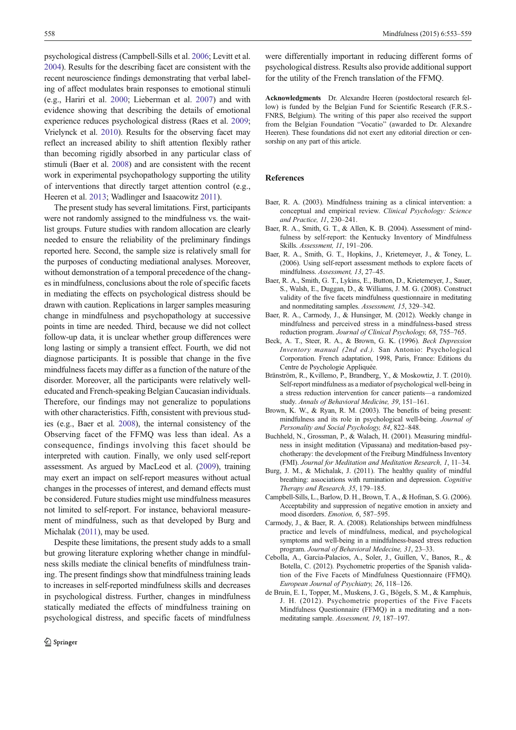psychological distress (Campbell-Sills et al. 2006; Levitt et al. 2004). Results for the describing facet are consistent with the recent neuroscience findings demonstrating that verbal labeling of affect modulates brain responses to emotional stimuli (e.g., Hariri et al. 2000; Lieberman et al. 2007) and with evidence showing that describing the details of emotional experience reduces psychological distress (Raes et al. 2009; Vrielynck et al. 2010). Results for the observing facet may reflect an increased ability to shift attention flexibly rather than becoming rigidly absorbed in any particular class of stimuli (Baer et al. 2008) and are consistent with the recent work in experimental psychopathology supporting the utility of interventions that directly target attention control (e.g., Heeren et al. 2013; Wadlinger and Isaacowitz 2011).

The present study has several limitations. First, participants were not randomly assigned to the mindfulness vs. the waitlist groups. Future studies with random allocation are clearly needed to ensure the reliability of the preliminary findings reported here. Second, the sample size is relatively small for the purposes of conducting mediational analyses. Moreover, without demonstration of a temporal precedence of the changes in mindfulness, conclusions about the role of specific facets in mediating the effects on psychological distress should be drawn with caution. Replications in larger samples measuring change in mindfulness and psychopathology at successive points in time are needed. Third, because we did not collect follow-up data, it is unclear whether group differences were long lasting or simply a transient effect. Fourth, we did not diagnose participants. It is possible that change in the five mindfulness facets may differ as a function of the nature of the disorder. Moreover, all the participants were relatively welleducated and French-speaking Belgian Caucasian individuals. Therefore, our findings may not generalize to populations with other characteristics. Fifth, consistent with previous studies (e.g., Baer et al. 2008), the internal consistency of the Observing facet of the FFMQ was less than ideal. As a consequence, findings involving this facet should be interpreted with caution. Finally, we only used self-report assessment. As argued by MacLeod et al. (2009), training may exert an impact on self-report measures without actual changes in the processes of interest, and demand effects must be considered. Future studies might use mindfulness measures not limited to self-report. For instance, behavioral measurement of mindfulness, such as that developed by Burg and Michalak (2011), may be used.

Despite these limitations, the present study adds to a small but growing literature exploring whether change in mindfulness skills mediate the clinical benefits of mindfulness training. The present findings show that mindfulness training leads to increases in self-reported mindfulness skills and decreases in psychological distress. Further, changes in mindfulness statically mediated the effects of mindfulness training on psychological distress, and specific facets of mindfulness

were differentially important in reducing different forms of psychological distress. Results also provide additional support for the utility of the French translation of the FFMQ.

Acknowledgments Dr. Alexandre Heeren (postdoctoral research fellow) is funded by the Belgian Fund for Scientific Research (F.R.S.- FNRS, Belgium). The writing of this paper also received the support from the Belgian Foundation "Vocatio" (awarded to Dr. Alexandre Heeren). These foundations did not exert any editorial direction or censorship on any part of this article.

## References

- Baer, R. A. (2003). Mindfulness training as a clinical intervention: a conceptual and empirical review. Clinical Psychology: Science and Practice, 11, 230–241.
- Baer, R. A., Smith, G. T., & Allen, K. B. (2004). Assessment of mindfulness by self-report: the Kentucky Inventory of Mindfulness Skills. Assessment, 11, 191–206.
- Baer, R. A., Smith, G. T., Hopkins, J., Krietemeyer, J., & Toney, L. (2006). Using self-report assessment methods to explore facets of mindfulness. Assessment, 13, 27–45.
- Baer, R. A., Smith, G. T., Lykins, E., Button, D., Krietemeyer, J., Sauer, S., Walsh, E., Duggan, D., & Williams, J. M. G. (2008). Construct validity of the five facets mindfulness questionnaire in meditating and nonmeditating samples. Assessment, 15, 329–342.
- Baer, R. A., Carmody, J., & Hunsinger, M. (2012). Weekly change in mindfulness and perceived stress in a mindfulness-based stress reduction program. Journal of Clinical Psychology, 68, 755–765.
- Beck, A. T., Steer, R. A., & Brown, G. K. (1996). Beck Depression Inventory manual (2nd ed.). San Antonio: Psychological Corporation. French adaptation, 1998, Paris, France: Editions du Centre de Psychologie Appliquée.
- Bränström, R., Kvillemo, P., Brandberg, Y., & Moskowtiz, J. T. (2010). Self-report mindfulness as a mediator of psychological well-being in a stress reduction intervention for cancer patients—a randomized study. Annals of Behavioral Medicine, 39, 151–161.
- Brown, K. W., & Ryan, R. M. (2003). The benefits of being present: mindfulness and its role in psychological well-being. Journal of Personality and Social Psychology, 84, 822–848.
- Buchheld, N., Grossman, P., & Walach, H. (2001). Measuring mindfulness in insight meditation (Vipassana) and meditation-based psychotherapy: the development of the Freiburg Mindfulness Inventory (FMI). Journal for Meditation and Meditation Research, 1, 11–34.
- Burg, J. M., & Michalak, J. (2011). The healthy quality of mindful breathing: associations with rumination and depression. Cognitive Therapy and Research, 35, 179–185.
- Campbell-Sills, L., Barlow, D. H., Brown, T. A., & Hofman, S. G. (2006). Acceptability and suppression of negative emotion in anxiety and mood disorders. Emotion, 6, 587–595.
- Carmody, J., & Baer, R. A. (2008). Relationships between mindfulness practice and levels of mindfulness, medical, and psychological symptoms and well-being in a mindfulness-based stress reduction program. Journal of Behavioral Medecine, 31, 23–33.
- Cebolla, A., Garcia-Palacios, A., Soler, J., Guillen, V., Banos, R., & Botella, C. (2012). Psychometric properties of the Spanish validation of the Five Facets of Mindfulness Questionnaire (FFMQ). European Journal of Psychiatry, 26, 118–126.
- de Bruin, E. I., Topper, M., Muskens, J. G., Bögels, S. M., & Kamphuis, J. H. (2012). Psychometric properties of the Five Facets Mindfulness Questionnaire (FFMQ) in a meditating and a nonmeditating sample. Assessment, 19, 187–197.